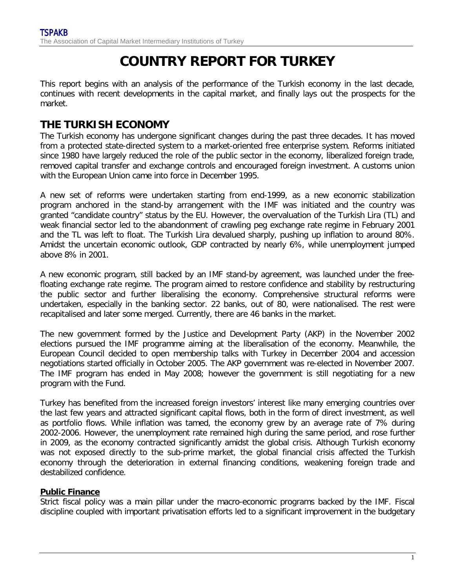# **COUNTRY REPORT FOR TURKEY**

This report begins with an analysis of the performance of the Turkish economy in the last decade, continues with recent developments in the capital market, and finally lays out the prospects for the market.

# **THE TURKISH ECONOMY**

The Turkish economy has undergone significant changes during the past three decades. It has moved from a protected state-directed system to a market-oriented free enterprise system. Reforms initiated since 1980 have largely reduced the role of the public sector in the economy, liberalized foreign trade, removed capital transfer and exchange controls and encouraged foreign investment. A customs union with the European Union came into force in December 1995.

A new set of reforms were undertaken starting from end-1999, as a new economic stabilization program anchored in the stand-by arrangement with the IMF was initiated and the country was granted "candidate country" status by the EU. However, the overvaluation of the Turkish Lira (TL) and weak financial sector led to the abandonment of crawling peg exchange rate regime in February 2001 and the TL was left to float. The Turkish Lira devalued sharply, pushing up inflation to around 80%. Amidst the uncertain economic outlook, GDP contracted by nearly 6%, while unemployment jumped above 8% in 2001.

A new economic program, still backed by an IMF stand-by agreement, was launched under the freefloating exchange rate regime. The program aimed to restore confidence and stability by restructuring the public sector and further liberalising the economy. Comprehensive structural reforms were undertaken, especially in the banking sector. 22 banks, out of 80, were nationalised. The rest were recapitalised and later some merged. Currently, there are 46 banks in the market.

The new government formed by the Justice and Development Party (AKP) in the November 2002 elections pursued the IMF programme aiming at the liberalisation of the economy. Meanwhile, the European Council decided to open membership talks with Turkey in December 2004 and accession negotiations started officially in October 2005. The AKP government was re-elected in November 2007. The IMF program has ended in May 2008; however the government is still negotiating for a new program with the Fund.

Turkey has benefited from the increased foreign investors' interest like many emerging countries over the last few years and attracted significant capital flows, both in the form of direct investment, as well as portfolio flows. While inflation was tamed, the economy grew by an average rate of 7% during 2002-2006. However, the unemployment rate remained high during the same period, and rose further in 2009, as the economy contracted significantly amidst the global crisis. Although Turkish economy was not exposed directly to the sub-prime market, the global financial crisis affected the Turkish economy through the deterioration in external financing conditions, weakening foreign trade and destabilized confidence.

### **Public Finance**

Strict fiscal policy was a main pillar under the macro-economic programs backed by the IMF. Fiscal discipline coupled with important privatisation efforts led to a significant improvement in the budgetary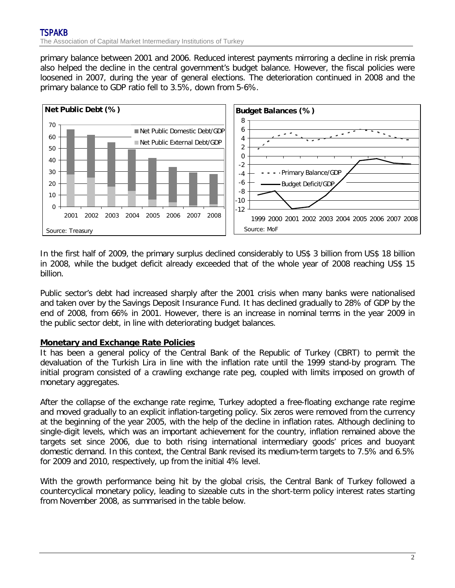primary balance between 2001 and 2006. Reduced interest payments mirroring a decline in risk premia also helped the decline in the central government's budget balance. However, the fiscal policies were loosened in 2007, during the year of general elections. The deterioration continued in 2008 and the primary balance to GDP ratio fell to 3.5%, down from 5-6%.



In the first half of 2009, the primary surplus declined considerably to US\$ 3 billion from US\$ 18 billion in 2008, while the budget deficit already exceeded that of the whole year of 2008 reaching US\$ 15 billion.

Public sector's debt had increased sharply after the 2001 crisis when many banks were nationalised and taken over by the Savings Deposit Insurance Fund. It has declined gradually to 28% of GDP by the end of 2008, from 66% in 2001. However, there is an increase in nominal terms in the year 2009 in the public sector debt, in line with deteriorating budget balances.

#### **Monetary and Exchange Rate Policies**

It has been a general policy of the Central Bank of the Republic of Turkey (CBRT) to permit the devaluation of the Turkish Lira in line with the inflation rate until the 1999 stand-by program. The initial program consisted of a crawling exchange rate peg, coupled with limits imposed on growth of monetary aggregates.

After the collapse of the exchange rate regime, Turkey adopted a free-floating exchange rate regime and moved gradually to an explicit inflation-targeting policy. Six zeros were removed from the currency at the beginning of the year 2005, with the help of the decline in inflation rates. Although declining to single-digit levels, which was an important achievement for the country, inflation remained above the targets set since 2006, due to both rising international intermediary goods' prices and buoyant domestic demand. In this context, the Central Bank revised its medium-term targets to 7.5% and 6.5% for 2009 and 2010, respectively, up from the initial 4% level.

With the growth performance being hit by the global crisis, the Central Bank of Turkey followed a countercyclical monetary policy, leading to sizeable cuts in the short-term policy interest rates starting from November 2008, as summarised in the table below.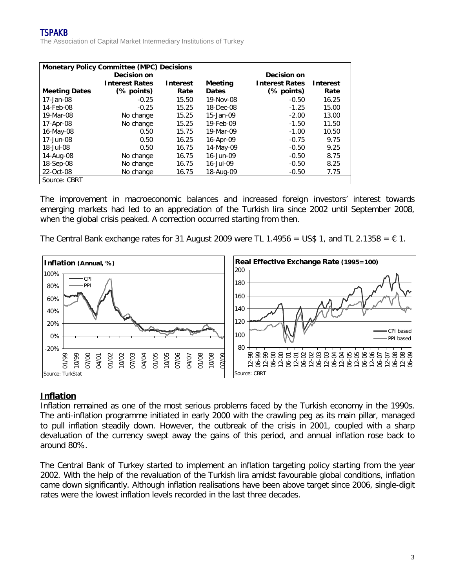| <b>Monetary Policy Committee (MPC) Decisions</b> |                       |                 |                |                       |                 |  |  |  |  |
|--------------------------------------------------|-----------------------|-----------------|----------------|-----------------------|-----------------|--|--|--|--|
|                                                  | Decision on           |                 |                | Decision on           |                 |  |  |  |  |
|                                                  | <b>Interest Rates</b> | <b>Interest</b> | <b>Meeting</b> | <b>Interest Rates</b> | <b>Interest</b> |  |  |  |  |
| <b>Meeting Dates</b>                             | (% points)            | Rate            | <b>Dates</b>   | (% points)            | Rate            |  |  |  |  |
| 17-Jan-08                                        | $-0.25$               | 15.50           | 19-Nov-08      | $-0.50$               | 16.25           |  |  |  |  |
| 14-Feb-08                                        | $-0.25$               | 15.25           | 18-Dec-08      | $-1.25$               | 15.00           |  |  |  |  |
| 19-Mar-08                                        | No change             | 15.25           | 15-Jan-09      | $-2.00$               | 13.00           |  |  |  |  |
| 17-Apr-08                                        | No change             | 15.25           | 19-Feb-09      | $-1.50$               | 11.50           |  |  |  |  |
| 16-May-08                                        | 0.50                  | 15.75           | 19-Mar-09      | $-1.00$               | 10.50           |  |  |  |  |
| 17-Jun-08                                        | 0.50                  | 16.25           | 16-Apr-09      | $-0.75$               | 9.75            |  |  |  |  |
| 18-Jul-08                                        | 0.50                  | 16.75           | 14-May-09      | $-0.50$               | 9.25            |  |  |  |  |
| 14-Aug-08                                        | No change             | 16.75           | 16-Jun-09      | $-0.50$               | 8.75            |  |  |  |  |
| 18-Sep-08                                        | No change             | 16.75           | 16-Jul-09      | $-0.50$               | 8.25            |  |  |  |  |
| 22-Oct-08                                        | No change             | 16.75           | 18-Aug-09      | $-0.50$               | 7.75            |  |  |  |  |
| Source: CBRT                                     |                       |                 |                |                       |                 |  |  |  |  |

The improvement in macroeconomic balances and increased foreign investors' interest towards emerging markets had led to an appreciation of the Turkish lira since 2002 until September 2008, when the global crisis peaked. A correction occurred starting from then.

The Central Bank exchange rates for 31 August 2009 were TL 1.4956 = US\$ 1, and TL 2.1358 =  $\epsilon$  1.



#### **Inflation**

Inflation remained as one of the most serious problems faced by the Turkish economy in the 1990s. The anti-inflation programme initiated in early 2000 with the crawling peg as its main pillar, managed to pull inflation steadily down. However, the outbreak of the crisis in 2001, coupled with a sharp devaluation of the currency swept away the gains of this period, and annual inflation rose back to around 80%.

The Central Bank of Turkey started to implement an inflation targeting policy starting from the year 2002. With the help of the revaluation of the Turkish lira amidst favourable global conditions, inflation came down significantly. Although inflation realisations have been above target since 2006, single-digit rates were the lowest inflation levels recorded in the last three decades.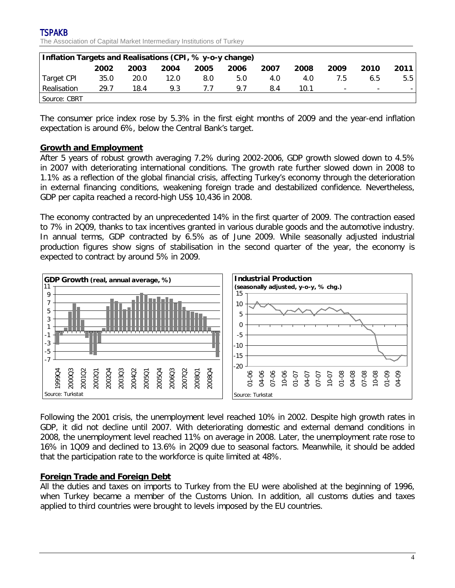| Inflation Targets and Realisations (CPI, % y-o-y change) |      |      |      |      |      |      |      |                          |                          |      |
|----------------------------------------------------------|------|------|------|------|------|------|------|--------------------------|--------------------------|------|
|                                                          | 2002 | 2003 | 2004 | 2005 | 2006 | 2007 | 2008 | 2009                     | 2010                     | 2011 |
| Target CPI                                               | 35.0 | 20.0 | 12.0 | 8.0  | 5.0  | 4.0  | 4.0  | 7.5                      | 6.5                      | 5.5  |
| Realisation                                              | 29.7 | 18.4 | 9.3  | 7.7  | 9.7  | 8.4  | 10.1 | $\overline{\phantom{a}}$ | $\overline{\phantom{0}}$ |      |
| Source: CBRT                                             |      |      |      |      |      |      |      |                          |                          |      |

The consumer price index rose by 5.3% in the first eight months of 2009 and the year-end inflation expectation is around 6%, below the Central Bank's target.

#### **Growth and Employment**

After 5 years of robust growth averaging 7.2% during 2002-2006, GDP growth slowed down to 4.5% in 2007 with deteriorating international conditions. The growth rate further slowed down in 2008 to 1.1% as a reflection of the global financial crisis, affecting Turkey's economy through the deterioration in external financing conditions, weakening foreign trade and destabilized confidence. Nevertheless, GDP per capita reached a record-high US\$ 10,436 in 2008.

The economy contracted by an unprecedented 14% in the first quarter of 2009. The contraction eased to 7% in 2Q09, thanks to tax incentives granted in various durable goods and the automotive industry. In annual terms, GDP contracted by 6.5% as of June 2009. While seasonally adjusted industrial production figures show signs of stabilisation in the second quarter of the year, the economy is expected to contract by around 5% in 2009.



Following the 2001 crisis, the unemployment level reached 10% in 2002. Despite high growth rates in GDP, it did not decline until 2007. With deteriorating domestic and external demand conditions in 2008, the unemployment level reached 11% on average in 2008. Later, the unemployment rate rose to 16% in 1Q09 and declined to 13.6% in 2Q09 due to seasonal factors. Meanwhile, it should be added that the participation rate to the workforce is quite limited at 48%.

#### **Foreign Trade and Foreign Debt**

All the duties and taxes on imports to Turkey from the EU were abolished at the beginning of 1996, when Turkey became a member of the Customs Union. In addition, all customs duties and taxes applied to third countries were brought to levels imposed by the EU countries.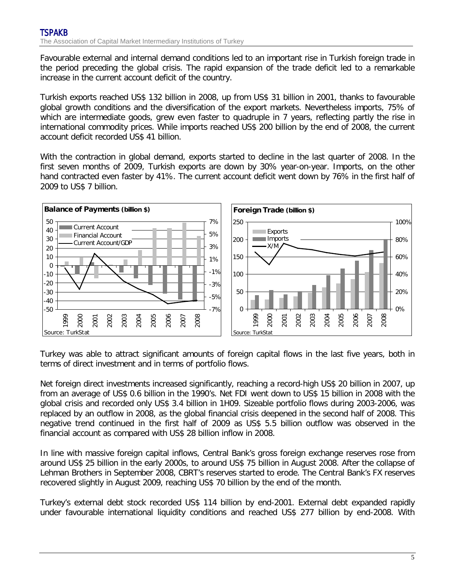Favourable external and internal demand conditions led to an important rise in Turkish foreign trade in the period preceding the global crisis. The rapid expansion of the trade deficit led to a remarkable increase in the current account deficit of the country.

Turkish exports reached US\$ 132 billion in 2008, up from US\$ 31 billion in 2001, thanks to favourable global growth conditions and the diversification of the export markets. Nevertheless imports, 75% of which are intermediate goods, grew even faster to quadruple in 7 years, reflecting partly the rise in international commodity prices. While imports reached US\$ 200 billion by the end of 2008, the current account deficit recorded US\$ 41 billion.

With the contraction in global demand, exports started to decline in the last quarter of 2008. In the first seven months of 2009, Turkish exports are down by 30% year-on-year. Imports, on the other hand contracted even faster by 41%. The current account deficit went down by 76% in the first half of 2009 to US\$ 7 billion.



Turkey was able to attract significant amounts of foreign capital flows in the last five years, both in terms of direct investment and in terms of portfolio flows.

Net foreign direct investments increased significantly, reaching a record-high US\$ 20 billion in 2007, up from an average of US\$ 0.6 billion in the 1990's. Net FDI went down to US\$ 15 billion in 2008 with the global crisis and recorded only US\$ 3.4 billion in 1H09. Sizeable portfolio flows during 2003-2006, was replaced by an outflow in 2008, as the global financial crisis deepened in the second half of 2008. This negative trend continued in the first half of 2009 as US\$ 5.5 billion outflow was observed in the financial account as compared with US\$ 28 billion inflow in 2008.

In line with massive foreign capital inflows, Central Bank's gross foreign exchange reserves rose from around US\$ 25 billion in the early 2000s, to around US\$ 75 billion in August 2008. After the collapse of Lehman Brothers in September 2008, CBRT's reserves started to erode. The Central Bank's FX reserves recovered slightly in August 2009, reaching US\$ 70 billion by the end of the month.

Turkey's external debt stock recorded US\$ 114 billion by end-2001. External debt expanded rapidly under favourable international liquidity conditions and reached US\$ 277 billion by end-2008. With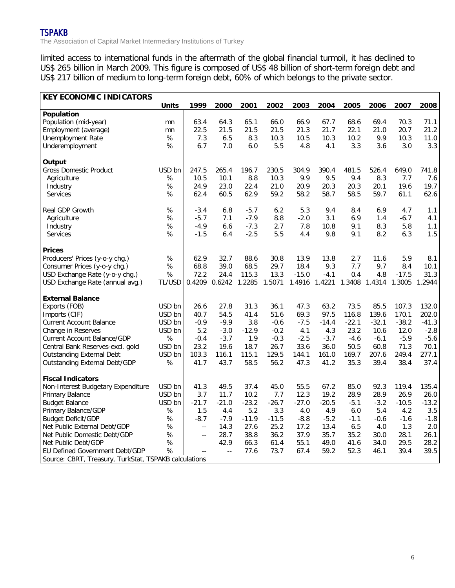limited access to international funds in the aftermath of the global financial turmoil, it has declined to US\$ 265 billion in March 2009. This figure is composed of US\$ 48 billion of short-term foreign debt and US\$ 217 billion of medium to long-term foreign debt, 60% of which belongs to the private sector.

| <b>KEY ECONOMIC INDICATORS</b>                        |              |                            |               |         |         |         |               |         |         |         |         |
|-------------------------------------------------------|--------------|----------------------------|---------------|---------|---------|---------|---------------|---------|---------|---------|---------|
|                                                       | <b>Units</b> | 1999                       | 2000          | 2001    | 2002    | 2003    | 2004          | 2005    | 2006    | 2007    | 2008    |
| Population                                            |              |                            |               |         |         |         |               |         |         |         |         |
| Population (mid-year)                                 | mn           | 63.4                       | 64.3          | 65.1    | 66.0    | 66.9    | 67.7          | 68.6    | 69.4    | 70.3    | 71.1    |
| Employment (average)                                  | mn           | 22.5                       | 21.5          | 21.5    | 21.5    | 21.3    | 21.7          | 22.1    | 21.0    | 20.7    | 21.2    |
| Unemployment Rate                                     | %            | 7.3                        | 6.5           | 8.3     | 10.3    | 10.5    | 10.3          | 10.2    | 9.9     | 10.3    | 11.0    |
| Underemployment                                       | $\%$         | 6.7                        | 7.0           | 6.0     | 5.5     | 4.8     | 4.1           | 3.3     | 3.6     | 3.0     | 3.3     |
| Output                                                |              |                            |               |         |         |         |               |         |         |         |         |
| <b>Gross Domestic Product</b>                         | USD bn       | 247.5                      | 265.4         | 196.7   | 230.5   | 304.9   | 390.4         | 481.5   | 526.4   | 649.0   | 741.8   |
| Agriculture                                           | $\%$         | 10.5                       | 10.1          | 8.8     | 10.3    | 9.9     | 9.5           | 9.4     | 8.3     | 7.7     | 7.6     |
| Industry                                              | %            | 24.9                       | 23.0          | 22.4    | 21.0    | 20.9    | 20.3          | 20.3    | 20.1    | 19.6    | 19.7    |
| Services                                              | $\%$         | 62.4                       | 60.5          | 62.9    | 59.2    | 58.2    | 58.7          | 58.5    | 59.7    | 61.1    | 62.6    |
| Real GDP Growth                                       | $\%$         | $-3.4$                     | 6.8           | $-5.7$  | 6.2     | 5.3     | 9.4           | 8.4     | 6.9     | 4.7     | 1.1     |
| Agriculture                                           | %            | $-5.7$                     | 7.1           | $-7.9$  | 8.8     | $-2.0$  | 3.1           | 6.9     | 1.4     | $-6.7$  | 4.1     |
| Industry                                              | %            | $-4.9$                     | 6.6           | $-7.3$  | 2.7     | 7.8     | 10.8          | 9.1     | 8.3     | 5.8     | 1.1     |
| <b>Services</b>                                       | %            | $-1.5$                     | 6.4           | $-2.5$  | 5.5     | 4.4     | 9.8           | 9.1     | 8.2     | 6.3     | 1.5     |
| <b>Prices</b>                                         |              |                            |               |         |         |         |               |         |         |         |         |
| Producers' Prices (y-o-y chg.)                        | $\%$         | 62.9                       | 32.7          | 88.6    | 30.8    | 13.9    | 13.8          | 2.7     | 11.6    | 5.9     | 8.1     |
| Consumer Prices (y-o-y chg.)                          | $\%$         | 68.8                       | 39.0          | 68.5    | 29.7    | 18.4    | 9.3           | 7.7     | 9.7     | 8.4     | 10.1    |
| USD Exchange Rate (y-o-y chg.)                        | %            | 72.2                       | 24.4          | 115.3   | 13.3    | $-15.0$ | $-4.1$        | 0.4     | 4.8     | $-17.5$ | 31.3    |
| USD Exchange Rate (annual avg.)                       | TL/USD       |                            | 0.4209 0.6242 | 1.2285  | 1.5071  |         | 1.4916 1.4221 | 1.3408  | 1.4314  | 1.3005  | 1.2944  |
| <b>External Balance</b>                               |              |                            |               |         |         |         |               |         |         |         |         |
| Exports (FOB)                                         | USD bn       | 26.6                       | 27.8          | 31.3    | 36.1    | 47.3    | 63.2          | 73.5    | 85.5    | 107.3   | 132.0   |
| Imports (CIF)                                         | USD bn       | 40.7                       | 54.5          | 41.4    | 51.6    | 69.3    | 97.5          | 116.8   | 139.6   | 170.1   | 202.0   |
| <b>Current Account Balance</b>                        | USD bn       | $-0.9$                     | $-9.9$        | 3.8     | $-0.6$  | $-7.5$  | $-14.4$       | $-22.1$ | $-32.1$ | $-38.2$ | $-41.3$ |
| Change in Reserves                                    | USD bn       | 5.2                        | $-3.0$        | $-12.9$ | $-0.2$  | 4.1     | 4.3           | 23.2    | 10.6    | 12.0    | $-2.8$  |
| Current Account Balance/GDP                           | $\%$         | $-0.4$                     | $-3.7$        | 1.9     | $-0.3$  | $-2.5$  | $-3.7$        | $-4.6$  | $-6.1$  | $-5.9$  | $-5.6$  |
| Central Bank Reserves-excl. gold                      | USD bn       | 23.2                       | 19.6          | 18.7    | 26.7    | 33.6    | 36.0          | 50.5    | 60.8    | 71.3    | 70.1    |
| <b>Outstanding External Debt</b>                      | USD bn       | 103.3                      | 116.1         | 115.1   | 129.5   | 144.1   | 161.0         | 169.7   | 207.6   | 249.4   | 277.1   |
| <b>Outstanding External Debt/GDP</b>                  | $\%$         | 41.7                       | 43.7          | 58.5    | 56.2    | 47.3    | 41.2          | 35.3    | 39.4    | 38.4    | 37.4    |
| <b>Fiscal Indicators</b>                              |              |                            |               |         |         |         |               |         |         |         |         |
| Non-Interest Budgetary Expenditure                    | USD bn       | 41.3                       | 49.5          | 37.4    | 45.0    | 55.5    | 67.2          | 85.0    | 92.3    | 119.4   | 135.4   |
| Primary Balance                                       | USD bn       | 3.7                        | 11.7          | 10.2    | 7.7     | 12.3    | 19.2          | 28.9    | 28.9    | 26.9    | 26.0    |
| <b>Budget Balance</b>                                 | USD bn       | $-21.7$                    | $-21.0$       | $-23.2$ | $-26.7$ | $-27.0$ | $-20.5$       | $-5.1$  | $-3.2$  | $-10.5$ | $-13.2$ |
| Primary Balance/GDP                                   | $\%$         | 1.5                        | 4.4           | 5.2     | 3.3     | 4.0     | 4.9           | 6.0     | 5.4     | 4.2     | 3.5     |
| <b>Budget Deficit/GDP</b>                             | $\%$         | $-8.7$                     | $-7.9$        | $-11.9$ | $-11.5$ | $-8.8$  | $-5.2$        | $-1.1$  | $-0.6$  | $-1.6$  | $-1.8$  |
| Net Public External Debt/GDP                          | $\%$         | $\overline{\phantom{a}}$ . | 14.3          | 27.6    | 25.2    | 17.2    | 13.4          | 6.5     | 4.0     | 1.3     | 2.0     |
| Net Public Domestic Debt/GDP                          | %            | $\sim$ $-$                 | 28.7          | 38.8    | 36.2    | 37.9    | 35.7          | 35.2    | 30.0    | 28.1    | 26.1    |
| Net Public Debt/GDP                                   | %            |                            | 42.9          | 66.3    | 61.4    | 55.1    | 49.0          | 41.6    | 34.0    | 29.5    | 28.2    |
| EU Defined Government Debt/GDP                        | $\%$         |                            | $\ddotsc$     | 77.6    | 73.7    | 67.4    | 59.2          | 52.3    | 46.1    | 39.4    | 39.5    |
| Source: CBRT, Treasury, TurkStat, TSPAKB calculations |              |                            |               |         |         |         |               |         |         |         |         |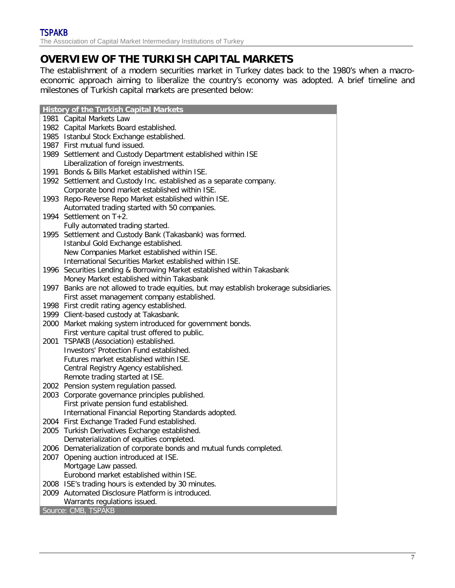# **OVERVIEW OF THE TURKISH CAPITAL MARKETS**

The establishment of a modern securities market in Turkey dates back to the 1980's when a macroeconomic approach aiming to liberalize the country's economy was adopted. A brief timeline and milestones of Turkish capital markets are presented below:

|      | <b>History of the Turkish Capital Markets</b>                                           |
|------|-----------------------------------------------------------------------------------------|
|      | 1981 Capital Markets Law                                                                |
|      | 1982 Capital Markets Board established.                                                 |
|      | 1985 Istanbul Stock Exchange established.                                               |
|      | 1987 First mutual fund issued.                                                          |
|      | 1989 Settlement and Custody Department established within ISE                           |
|      | Liberalization of foreign investments.                                                  |
|      | 1991 Bonds & Bills Market established within ISE.                                       |
|      | 1992 Settlement and Custody Inc. established as a separate company.                     |
|      | Corporate bond market established within ISE.                                           |
|      | 1993 Repo-Reverse Repo Market established within ISE.                                   |
|      | Automated trading started with 50 companies.                                            |
|      | 1994 Settlement on T+2.                                                                 |
|      | Fully automated trading started.                                                        |
| 1995 | Settlement and Custody Bank (Takasbank) was formed.                                     |
|      | Istanbul Gold Exchange established.                                                     |
|      | New Companies Market established within ISE.                                            |
|      | International Securities Market established within ISE.                                 |
|      | 1996 Securities Lending & Borrowing Market established within Takasbank                 |
|      | Money Market established within Takasbank                                               |
|      | 1997 Banks are not allowed to trade equities, but may establish brokerage subsidiaries. |
|      | First asset management company established.                                             |
|      | 1998 First credit rating agency established.                                            |
|      | 1999 Client-based custody at Takasbank.                                                 |
|      | 2000 Market making system introduced for government bonds.                              |
|      | First venture capital trust offered to public.                                          |
|      | 2001 TSPAKB (Association) established.                                                  |
|      | Investors' Protection Fund established.                                                 |
|      | Futures market established within ISE.                                                  |
|      | Central Registry Agency established.                                                    |
|      | Remote trading started at ISE.                                                          |
|      | 2002 Pension system regulation passed.                                                  |
|      | 2003 Corporate governance principles published.                                         |
|      | First private pension fund established.                                                 |
|      | International Financial Reporting Standards adopted.                                    |
|      | 2004 First Exchange Traded Fund established.                                            |
|      | 2005 Turkish Derivatives Exchange established.                                          |
|      | Dematerialization of equities completed.                                                |
|      | 2006 Dematerialization of corporate bonds and mutual funds completed.                   |
|      | 2007 Opening auction introduced at ISE.                                                 |
|      | Mortgage Law passed.                                                                    |
|      | Eurobond market established within ISE.                                                 |
|      | 2008 ISE's trading hours is extended by 30 minutes.                                     |
|      | 2009 Automated Disclosure Platform is introduced.                                       |
|      | Warrants regulations issued.                                                            |
|      | Source: CMB, TSPAKB                                                                     |
|      |                                                                                         |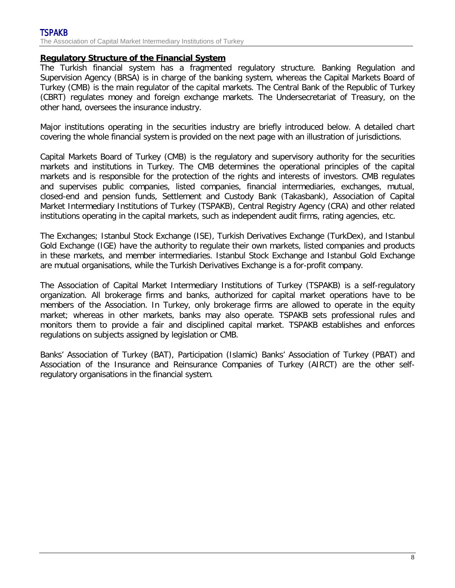#### **Regulatory Structure of the Financial System**

The Turkish financial system has a fragmented regulatory structure. Banking Regulation and Supervision Agency (BRSA) is in charge of the banking system, whereas the Capital Markets Board of Turkey (CMB) is the main regulator of the capital markets. The Central Bank of the Republic of Turkey (CBRT) regulates money and foreign exchange markets. The Undersecretariat of Treasury, on the other hand, oversees the insurance industry.

Major institutions operating in the securities industry are briefly introduced below. A detailed chart covering the whole financial system is provided on the next page with an illustration of jurisdictions.

Capital Markets Board of Turkey (CMB) is the regulatory and supervisory authority for the securities markets and institutions in Turkey. The CMB determines the operational principles of the capital markets and is responsible for the protection of the rights and interests of investors. CMB regulates and supervises public companies, listed companies, financial intermediaries, exchanges, mutual, closed-end and pension funds, Settlement and Custody Bank (Takasbank), Association of Capital Market Intermediary Institutions of Turkey (TSPAKB), Central Registry Agency (CRA) and other related institutions operating in the capital markets, such as independent audit firms, rating agencies, etc.

The Exchanges; Istanbul Stock Exchange (ISE), Turkish Derivatives Exchange (TurkDex), and Istanbul Gold Exchange (IGE) have the authority to regulate their own markets, listed companies and products in these markets, and member intermediaries. Istanbul Stock Exchange and Istanbul Gold Exchange are mutual organisations, while the Turkish Derivatives Exchange is a for-profit company.

The Association of Capital Market Intermediary Institutions of Turkey (TSPAKB) is a self-regulatory organization. All brokerage firms and banks, authorized for capital market operations have to be members of the Association. In Turkey, only brokerage firms are allowed to operate in the equity market; whereas in other markets, banks may also operate. TSPAKB sets professional rules and monitors them to provide a fair and disciplined capital market. TSPAKB establishes and enforces regulations on subjects assigned by legislation or CMB.

Banks' Association of Turkey (BAT), Participation (Islamic) Banks' Association of Turkey (PBAT) and Association of the Insurance and Reinsurance Companies of Turkey (AIRCT) are the other selfregulatory organisations in the financial system.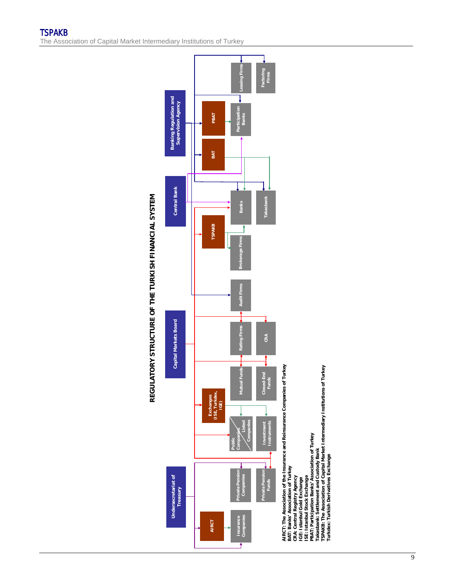

ⅎ



AIRCT: The Association of the Insurance and Reinsurance Companies of Turkey<br>BAT: Banks' Association of Turkey<br>CRA: Central Registry Agency<br>ISE: Istanbul Stock Exchange<br>ISE: Istanbul Stock Exchange<br>PAT: Participation Banks' **TSPAKB: The Association of Capital Market Intermediary Institutions of Turkey PBAT: Participation Banks' Association of Turkey Takasbank: Settlement and Custody Bank CRA: Central Registry Agency IGE: Istanbul Gold Exchange ISE: Istanbul Stock Exchange**

**Turkdex: Turkish Derivatives Exchange**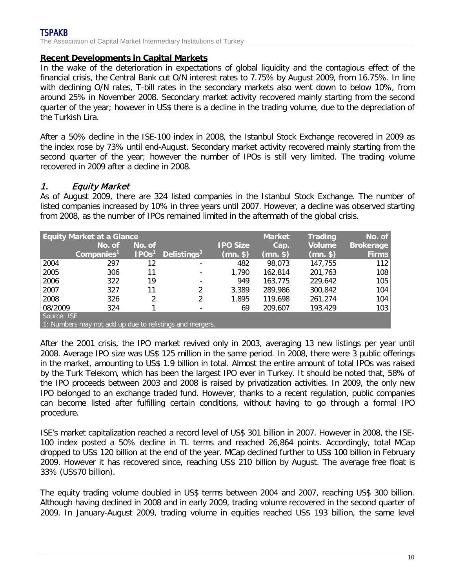#### TSPAKB The Association of Capital Market Intermediary Institutions of Turkey

#### **Recent Developments in Capital Markets**

In the wake of the deterioration in expectations of global liquidity and the contagious effect of the financial crisis, the Central Bank cut O/N interest rates to 7.75% by August 2009, from 16.75%. In line with declining O/N rates, T-bill rates in the secondary markets also went down to below 10%, from around 25% in November 2008. Secondary market activity recovered mainly starting from the second quarter of the year; however in US\$ there is a decline in the trading volume, due to the depreciation of the Turkish Lira.

After a 50% decline in the ISE-100 index in 2008, the Istanbul Stock Exchange recovered in 2009 as the index rose by 73% until end-August. Secondary market activity recovered mainly starting from the second quarter of the year; however the number of IPOs is still very limited. The trading volume recovered in 2009 after a decline in 2008.

### 1. Equity Market

As of August 2009, there are 324 listed companies in the Istanbul Stock Exchange. The number of listed companies increased by 10% in three years until 2007. However, a decline was observed starting from 2008, as the number of IPOs remained limited in the aftermath of the global crisis.

|             | <b>Equity Market at a Glance</b>                         |                   |                          |                 | <b>Market</b> | <b>Trading</b> | No. of           |
|-------------|----------------------------------------------------------|-------------------|--------------------------|-----------------|---------------|----------------|------------------|
|             | No. of                                                   | No. of            |                          | <b>IPO Size</b> | Cap.          | <b>Volume</b>  | <b>Brokerage</b> |
|             | Companies <sup>1</sup>                                   | IPOs <sup>1</sup> | Delistings <sup>1</sup>  | $(mn.$ \$)      | (mn. \$)      | $(mn.$ \$      | <b>Firms</b>     |
| 2004        | 297                                                      | 12                |                          | 482             | 98.073        | 147,755        | 112              |
| 2005        | 306                                                      | 11                | -                        | 1,790           | 162.814       | 201,763        | 108              |
| 2006        | 322                                                      | 19                | ۰                        | 949             | 163,775       | 229,642        | 105              |
| 2007        | 327                                                      | 11                | 2                        | 3,389           | 289,986       | 300,842        | 104              |
| 2008        | 326                                                      | 2                 | 2                        | 1,895           | 119,698       | 261.274        | 104              |
| 08/2009     | 324                                                      |                   | $\overline{\phantom{0}}$ | 69              | 209.607       | 193,429        | 103              |
| Source: ISE |                                                          |                   |                          |                 |               |                |                  |
|             | 1: Numbers may not add up due to relistings and mergers. |                   |                          |                 |               |                |                  |

After the 2001 crisis, the IPO market revived only in 2003, averaging 13 new listings per year until 2008. Average IPO size was US\$ 125 million in the same period. In 2008, there were 3 public offerings in the market, amounting to US\$ 1.9 billion in total. Almost the entire amount of total IPOs was raised by the Turk Telekom, which has been the largest IPO ever in Turkey. It should be noted that, 58% of the IPO proceeds between 2003 and 2008 is raised by privatization activities. In 2009, the only new IPO belonged to an exchange traded fund. However, thanks to a recent regulation, public companies can become listed after fulfilling certain conditions, without having to go through a formal IPO procedure.

ISE's market capitalization reached a record level of US\$ 301 billion in 2007. However in 2008, the ISE-100 index posted a 50% decline in TL terms and reached 26,864 points. Accordingly, total MCap dropped to US\$ 120 billion at the end of the year. MCap declined further to US\$ 100 billion in February 2009. However it has recovered since, reaching US\$ 210 billion by August. The average free float is 33% (US\$70 billion).

The equity trading volume doubled in US\$ terms between 2004 and 2007, reaching US\$ 300 billion. Although having declined in 2008 and in early 2009, trading volume recovered in the second quarter of 2009. In January-August 2009, trading volume in equities reached US\$ 193 billion, the same level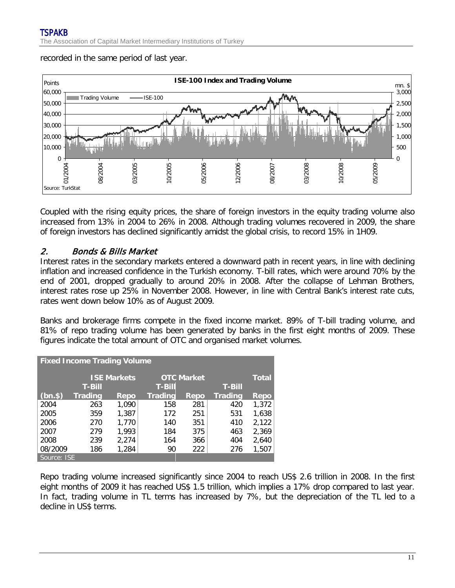recorded in the same period of last year.



Coupled with the rising equity prices, the share of foreign investors in the equity trading volume also increased from 13% in 2004 to 26% in 2008. Although trading volumes recovered in 2009, the share of foreign investors has declined significantly amidst the global crisis, to record 15% in 1H09.

### 2. Bonds & Bills Market

Interest rates in the secondary markets entered a downward path in recent years, in line with declining inflation and increased confidence in the Turkish economy. T-bill rates, which were around 70% by the end of 2001, dropped gradually to around 20% in 2008. After the collapse of Lehman Brothers, interest rates rose up 25% in November 2008. However, in line with Central Bank's interest rate cuts, rates went down below 10% as of August 2009.

Banks and brokerage firms compete in the fixed income market. 89% of T-bill trading volume, and 81% of repo trading volume has been generated by banks in the first eight months of 2009. These figures indicate the total amount of OTC and organised market volumes.

| <b>Fixed Income Trading Volume</b> |                |                    |                |                   |                |              |  |  |  |
|------------------------------------|----------------|--------------------|----------------|-------------------|----------------|--------------|--|--|--|
|                                    |                | <b>ISE Markets</b> |                | <b>OTC Market</b> |                | <b>Total</b> |  |  |  |
|                                    | <b>T-Bill</b>  | <b>T-Bill</b>      |                |                   |                |              |  |  |  |
| $(bn.$ \$                          | <b>Trading</b> | Repo               | <b>Trading</b> | <b>Repo</b>       | <b>Trading</b> | Repo         |  |  |  |
| 2004                               | 263            | 1,090              | 158            | 281               | 420            | 1,372        |  |  |  |
| 2005                               | 359            | 1,387              | 172            | 251               | 531            | 1,638        |  |  |  |
| 2006                               | 270            | 1,770              | 140            | 351               | 410            | 2,122        |  |  |  |
| 2007                               | 279            | 1,993              | 184            | 375               | 463            | 2,369        |  |  |  |
| 2008                               | 239            | 2,274              | 164            | 366               | 404            | 2,640        |  |  |  |
| 08/2009                            | 186            | 1,284              | 90             | 222               | 276            | 1,507        |  |  |  |
| Source: ISE                        |                |                    |                |                   |                |              |  |  |  |

Repo trading volume increased significantly since 2004 to reach US\$ 2.6 trillion in 2008. In the first eight months of 2009 it has reached US\$ 1.5 trillion, which implies a 17% drop compared to last year. In fact, trading volume in TL terms has increased by 7%, but the depreciation of the TL led to a decline in US\$ terms.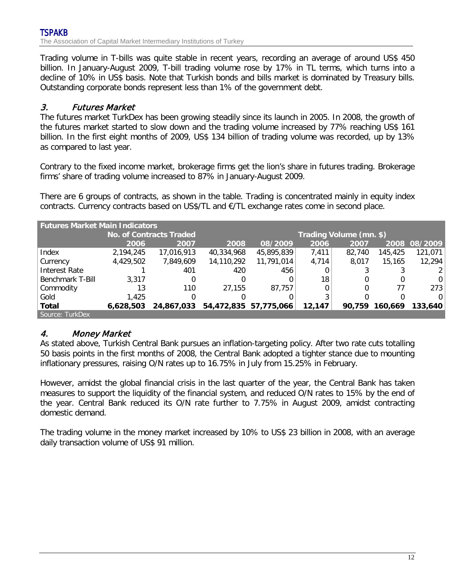Trading volume in T-bills was quite stable in recent years, recording an average of around US\$ 450 billion. In January-August 2009, T-bill trading volume rose by 17% in TL terms, which turns into a decline of 10% in US\$ basis. Note that Turkish bonds and bills market is dominated by Treasury bills. Outstanding corporate bonds represent less than 1% of the government debt.

# 3. Futures Market

The futures market TurkDex has been growing steadily since its launch in 2005. In 2008, the growth of the futures market started to slow down and the trading volume increased by 77% reaching US\$ 161 billion. In the first eight months of 2009, US\$ 134 billion of trading volume was recorded, up by 13% as compared to last year.

Contrary to the fixed income market, brokerage firms get the lion's share in futures trading. Brokerage firms' share of trading volume increased to 87% in January-August 2009.

There are 6 groups of contracts, as shown in the table. Trading is concentrated mainly in equity index contracts. Currency contracts based on US\$/TL and €/TL exchange rates come in second place.

| <b>Futures Market Main Indicators</b> |                                |                         |            |                       |        |        |         |               |  |
|---------------------------------------|--------------------------------|-------------------------|------------|-----------------------|--------|--------|---------|---------------|--|
|                                       | <b>No. of Contracts Traded</b> | Trading Volume (mn. \$) |            |                       |        |        |         |               |  |
|                                       | 2006                           | 2007                    | 2008       | 08/2009               | 2006   | 2007   |         | 2008 08/2009  |  |
| Index                                 | 2,194,245                      | 17,016,913              | 40,334,968 | 45,895,839            | 7,411  | 82,740 | 145,425 | 121,071       |  |
| Currency                              | 4,429,502                      | 7,849,609               | 14,110,292 | 11,791,014            | 4,714  | 8.017  | 15,165  | 12,294        |  |
| Interest Rate                         |                                | 401                     | 420        | 456                   |        |        |         | $\mathcal{P}$ |  |
| Benchmark T-Bill                      | 3.317                          | 0                       |            |                       | 18     | 0      |         | 0             |  |
| Commodity                             | 13                             | 110                     | 27.155     | 87.757                |        | 0      |         | 273           |  |
| Gold                                  | 1,425                          | 0                       |            |                       | 3      |        |         | $\Omega$      |  |
| <b>Total</b>                          | 6,628,503                      | 24,867,033              |            | 54,472,835 57,775,066 | 12,147 | 90,759 | 160.669 | 133,640       |  |
| Source: TurkDex'                      |                                |                         |            |                       |        |        |         |               |  |

## 4. Money Market

As stated above, Turkish Central Bank pursues an inflation-targeting policy. After two rate cuts totalling 50 basis points in the first months of 2008, the Central Bank adopted a tighter stance due to mounting inflationary pressures, raising O/N rates up to 16.75% in July from 15.25% in February.

However, amidst the global financial crisis in the last quarter of the year, the Central Bank has taken measures to support the liquidity of the financial system, and reduced O/N rates to 15% by the end of the year. Central Bank reduced its O/N rate further to 7.75% in August 2009, amidst contracting domestic demand.

The trading volume in the money market increased by 10% to US\$ 23 billion in 2008, with an average daily transaction volume of US\$ 91 million.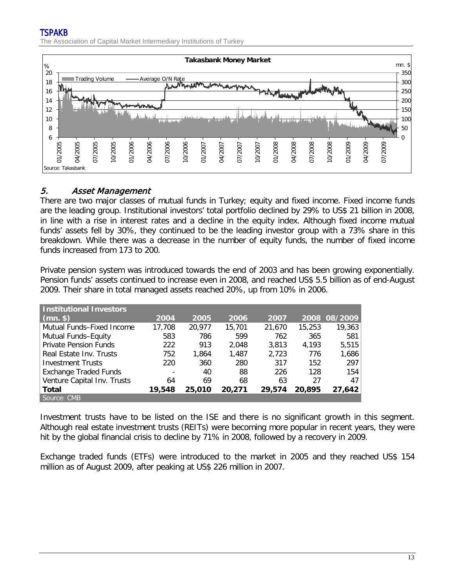

# 5. Asset Management

There are two major classes of mutual funds in Turkey; equity and fixed income. Fixed income funds are the leading group. Institutional investors' total portfolio declined by 29% to US\$ 21 billion in 2008, in line with a rise in interest rates and a decline in the equity index. Although fixed income mutual funds' assets fell by 30%, they continued to be the leading investor group with a 73% share in this breakdown. While there was a decrease in the number of equity funds, the number of fixed income funds increased from 173 to 200.

Private pension system was introduced towards the end of 2003 and has been growing exponentially. Pension funds' assets continued to increase even in 2008, and reached US\$ 5.5 billion as of end-August 2009. Their share in total managed assets reached 20%, up from 10% in 2006.

| <b>Institutional Investors</b> |        |        |        |        |        |              |
|--------------------------------|--------|--------|--------|--------|--------|--------------|
| $\mid$ (mn. \$) $\mid$         | 2004   | 2005   | 2006   | 2007   |        | 2008 08/2009 |
| Mutual Funds-Fixed Income      | 17,708 | 20,977 | 15,701 | 21,670 | 15,253 | 19,363       |
| Mutual Funds-Equity            | 583    | 786    | 599    | 762    | 365    | 581          |
| <b>Private Pension Funds</b>   | 222    | 913    | 2.048  | 3.813  | 4.193  | 5,515        |
| Real Estate Inv. Trusts        | 752    | 1.864  | 1,487  | 2,723  | 776    | 1,686        |
| <b>Investment Trusts</b>       | 220    | 360    | 280    | 317    | 152    | 297          |
| <b>Exchange Traded Funds</b>   |        | 40     | 88     | 226    | 128    | 154          |
| Venture Capital Inv. Trusts    | 64     | 69     | 68     | 63     | 27     | 47           |
| Total                          | 19,548 | 25,010 | 20,271 | 29,574 | 20,895 | 27,642       |
| Source: CMB                    |        |        |        |        |        |              |

Investment trusts have to be listed on the ISE and there is no significant growth in this segment. Although real estate investment trusts (REITs) were becoming more popular in recent years, they were hit by the global financial crisis to decline by 71% in 2008, followed by a recovery in 2009.

Exchange traded funds (ETFs) were introduced to the market in 2005 and they reached US\$ 154 million as of August 2009, after peaking at US\$ 226 million in 2007.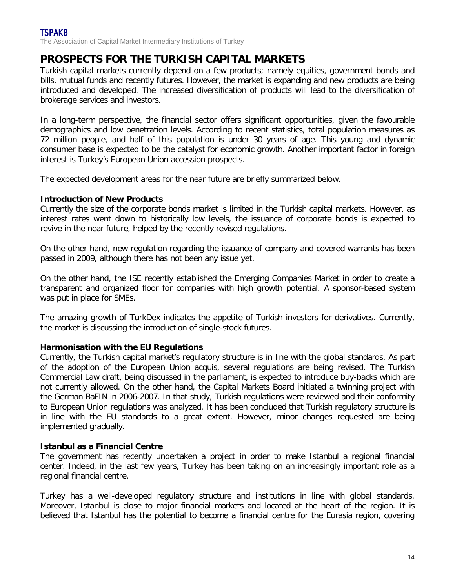# **PROSPECTS FOR THE TURKISH CAPITAL MARKETS**

Turkish capital markets currently depend on a few products; namely equities, government bonds and bills, mutual funds and recently futures. However, the market is expanding and new products are being introduced and developed. The increased diversification of products will lead to the diversification of brokerage services and investors.

In a long-term perspective, the financial sector offers significant opportunities, given the favourable demographics and low penetration levels. According to recent statistics, total population measures as 72 million people, and half of this population is under 30 years of age. This young and dynamic consumer base is expected to be the catalyst for economic growth. Another important factor in foreign interest is Turkey's European Union accession prospects.

The expected development areas for the near future are briefly summarized below.

#### **Introduction of New Products**

Currently the size of the corporate bonds market is limited in the Turkish capital markets. However, as interest rates went down to historically low levels, the issuance of corporate bonds is expected to revive in the near future, helped by the recently revised regulations.

On the other hand, new regulation regarding the issuance of company and covered warrants has been passed in 2009, although there has not been any issue yet.

On the other hand, the ISE recently established the Emerging Companies Market in order to create a transparent and organized floor for companies with high growth potential. A sponsor-based system was put in place for SMEs.

The amazing growth of TurkDex indicates the appetite of Turkish investors for derivatives. Currently, the market is discussing the introduction of single-stock futures.

#### **Harmonisation with the EU Regulations**

Currently, the Turkish capital market's regulatory structure is in line with the global standards. As part of the adoption of the European Union acquis, several regulations are being revised. The Turkish Commercial Law draft, being discussed in the parliament, is expected to introduce buy-backs which are not currently allowed. On the other hand, the Capital Markets Board initiated a twinning project with the German BaFIN in 2006-2007. In that study, Turkish regulations were reviewed and their conformity to European Union regulations was analyzed. It has been concluded that Turkish regulatory structure is in line with the EU standards to a great extent. However, minor changes requested are being implemented gradually.

#### **Istanbul as a Financial Centre**

The government has recently undertaken a project in order to make Istanbul a regional financial center. Indeed, in the last few years, Turkey has been taking on an increasingly important role as a regional financial centre.

Turkey has a well-developed regulatory structure and institutions in line with global standards. Moreover, Istanbul is close to major financial markets and located at the heart of the region. It is believed that Istanbul has the potential to become a financial centre for the Eurasia region, covering